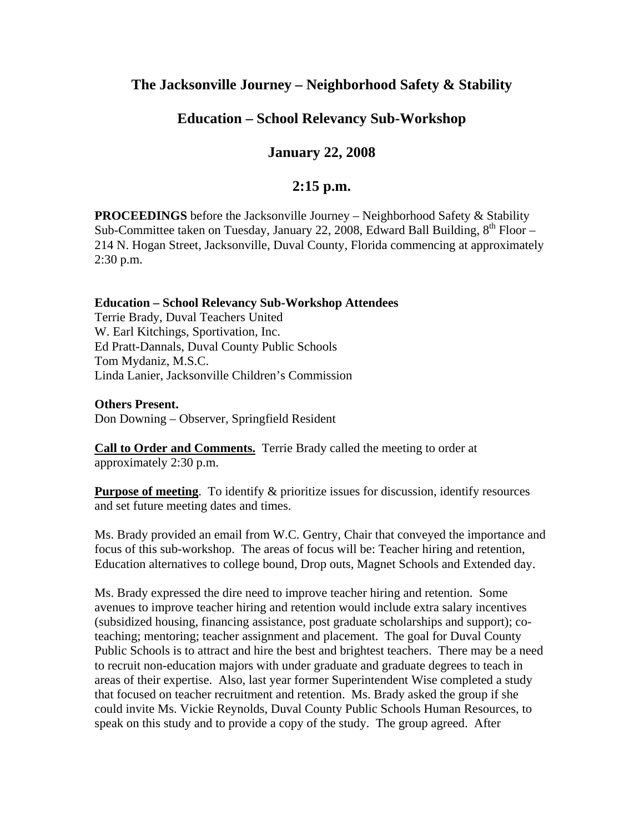# **The Jacksonville Journey – Neighborhood Safety & Stability**

## **Education – School Relevancy Sub-Workshop**

## **January 22, 2008**

### **2:15 p.m.**

**PROCEEDINGS** before the Jacksonville Journey – Neighborhood Safety & Stability Sub-Committee taken on Tuesday, January 22, 2008, Edward Ball Building,  $8^{th}$  Floor – 214 N. Hogan Street, Jacksonville, Duval County, Florida commencing at approximately 2:30 p.m.

#### **Education – School Relevancy Sub-Workshop Attendees**

Terrie Brady, Duval Teachers United W. Earl Kitchings, Sportivation, Inc. Ed Pratt-Dannals, Duval County Public Schools Tom Mydaniz, M.S.C. Linda Lanier, Jacksonville Children's Commission

**Others Present.** 

Don Downing – Observer, Springfield Resident

**Call to Order and Comments.** Terrie Brady called the meeting to order at approximately 2:30 p.m.

**Purpose of meeting.** To identify & prioritize issues for discussion, identify resources and set future meeting dates and times.

Ms. Brady provided an email from W.C. Gentry, Chair that conveyed the importance and focus of this sub-workshop. The areas of focus will be: Teacher hiring and retention, Education alternatives to college bound, Drop outs, Magnet Schools and Extended day.

Ms. Brady expressed the dire need to improve teacher hiring and retention. Some avenues to improve teacher hiring and retention would include extra salary incentives (subsidized housing, financing assistance, post graduate scholarships and support); coteaching; mentoring; teacher assignment and placement. The goal for Duval County Public Schools is to attract and hire the best and brightest teachers. There may be a need to recruit non-education majors with under graduate and graduate degrees to teach in areas of their expertise. Also, last year former Superintendent Wise completed a study that focused on teacher recruitment and retention. Ms. Brady asked the group if she could invite Ms. Vickie Reynolds, Duval County Public Schools Human Resources, to speak on this study and to provide a copy of the study. The group agreed. After